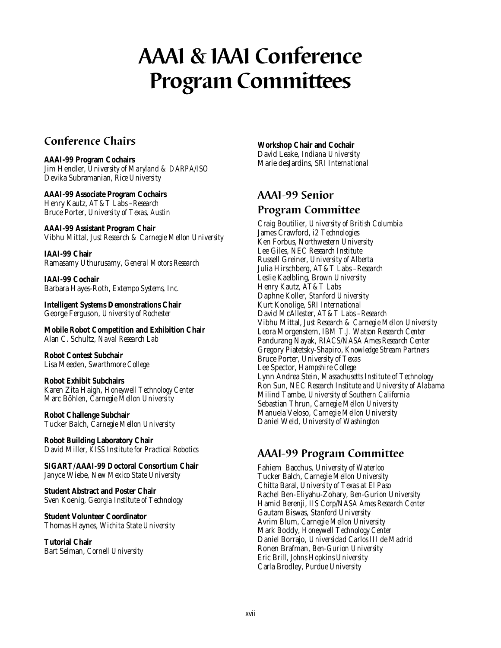# **AAAI & IAAI Conference Program Committees**

# **Conference Chairs**

### **AAAI-99 Program Cochairs**

Jim Hendler, *University of Maryland & DARPA/ISO* Devika Subramanian, *Rice University*

**AAAI-99 Associate Program Cochairs** Henry Kautz, *AT&T Labs –Research* Bruce Porter, *University of Texas, Austin*

**AAAI-99 Assistant Program Chair** Vibhu Mittal, *Just Research & Carnegie Mellon University*

**IAAI-99 Chair** Ramasamy Uthurusamy, *General Motors Research*

**IAAI-99 Cochair** Barbara Hayes-Roth, *Extempo Systems, Inc.*

**Intelligent Systems Demonstrations Chair** George Ferguson, *University of Rochester*

**Mobile Robot Competition and Exhibition Chair** Alan C. Schultz, *Naval Research Lab*

**Robot Contest Subchair** Lisa Meeden, *Swarthmore College*

**Robot Exhibit Subchairs** Karen Zita Haigh, *Honeywell Technology Center* Marc Böhlen, *Carnegie Mellon University*

**Robot Challenge Subchair** Tucker Balch, *Carnegie Mellon University*

**Robot Building Laboratory Chair** David Miller, *KISS Institute for Practical Robotics*

**SIGART/AAAI-99 Doctoral Consortium Chair** Janyce Wiebe, *New Mexico State University*

**Student Abstract and Poster Chair** Sven Koenig, *Georgia Institute of Technology*

**Student Volunteer Coordinator** Thomas Haynes, *Wichita State University*

**Tutorial Chair** Bart Selman, *Cornell University*

#### **Workshop Chair and Cochair**

David Leake, *Indiana University* Marie desJardins, *SRI International*

# **AAAI-99 Senior Program Committee**

Craig Boutilier, *University of British Columbia* James Crawford, *i2 Technologies* Ken Forbus, *Northwestern University* Lee Giles, *NEC Research Institute* Russell Greiner, *University of Alberta* Julia Hirschberg, *AT&T Labs –Research* Leslie Kaelbling, B*rown University* Henry Kautz, *AT&T Labs* Daphne Koller, *Stanford University* Kurt Konolige, *SRI International* David McAllester, *AT&T Labs –Research* Vibhu Mittal, *Just Research & Carnegie Mellon University* Leora Morgenstern, *IBM T.J. Watson Research Center* Pandurang Nayak, *RIACS/NASA Ames Research Center* Gregory Piatetsky-Shapiro, *Knowledge Stream Partners* Bruce Porter, *University of Texas* Lee Spector, *Hampshire College* Lynn Andrea Stein, *Massachusetts Institute of Technology* Ron Sun, *NEC Research Institute and University of Alabama* Milind Tambe, *University of Southern California* Sebastian Thrun, *Carnegie Mellon University* Manuela Veloso, *Carnegie Mellon University* Daniel Weld, *University of Washington*

# **AAAI-99 Program Committee**

Fahiem Bacchus, *University of Waterloo* Tucker Balch, *Carnegie Mellon University* Chitta Baral, *University of Texas at El Paso* Rachel Ben-Eliyahu-Zohary, *Ben-Gurion University* Hamid Berenji, *IIS Corp/NASA Ames Research Center* Gautam Biswas, *Stanford University* Avrim Blum, *Carnegie Mellon University* Mark Boddy, *Honeywell Technology Center* Daniel Borrajo, *Universidad Carlos III de Madrid* Ronen Brafman, *Ben-Gurion University* Eric Brill, *Johns Hopkins University* Carla Brodley, *Purdue University*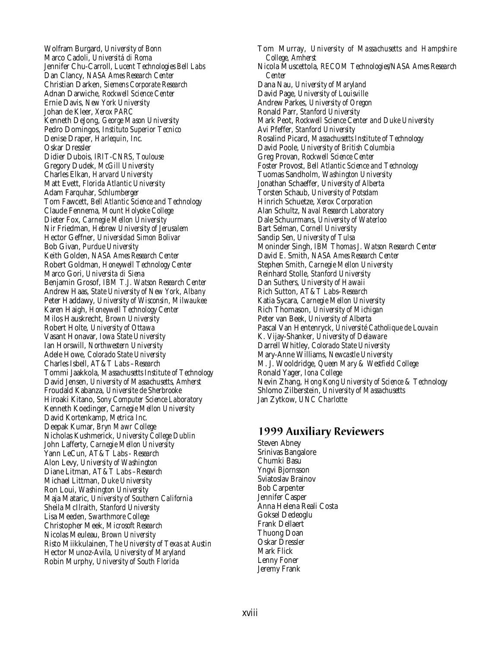Wolfram Burgard, *University of Bonn* Marco Cadoli, *Universitá di Roma* Jennifer Chu-Carroll, *Lucent Technologies Bell Labs* Dan Clancy, *NASA Ames Research Center* Christian Darken, *Siemens Corporate Research* Adnan Darwiche, *Rockwell Science Center* Ernie Davis, *New York University* Johan de Kleer, *Xerox PARC* Kenneth DeJong, *George Mason University* Pedro Domingos, *Instituto Superior Tecnico* Denise Draper, *Harlequin, Inc.* Oskar Dressler Didier Dubois, *IRIT-CNRS, Toulouse* Gregory Dudek, *McGill University* Charles Elkan, *Harvard University* Matt Evett, *Florida Atlantic University* Adam Farquhar, *Schlumberger* Tom Fawcett, *Bell Atlantic Science and Technology* Claude Fennema, *Mount Holyoke College* Dieter Fox, *Carnegie Mellon University* Nir Friedman, *Hebrew University of Jerusalem* Hector Geffner, *Universidad Simon Bolivar* Bob Givan, *Purdue University* Keith Golden, *NASA Ames Research Center* Robert Goldman, *Honeywell Technology Center* Marco Gori, *Universita di Siena* Benjamin Grosof, *IBM T.J. Watson Research Center* Andrew Haas, *State University of New York, Albany* Peter Haddawy, *University of Wisconsin, Milwaukee* Karen Haigh, *Honeywell Technology Center* Milos Hauskrecht, *Brown University* Robert Holte, *University of Ottawa* Vasant Honavar, *Iowa State University* Ian Horswill, *Northwestern University* Adele Howe, *Colorado State University* Charles Isbell, *AT&T Labs –Research* Tommi Jaakkola, *Massachusetts Institute of Technology* David Jensen, *University of Massachusetts, Amherst* Froudald Kabanza, *Universite de Sherbrooke* Hiroaki Kitano, *Sony Computer Science Laboratory* Kenneth Koedinger, *Carnegie Mellon University* David Kortenkamp, *Metrica Inc.* Deepak Kumar, *Bryn Mawr College* Nicholas Kushmerick, *University College Dublin* John Lafferty, *Carnegie Mellon University* Yann LeCun, *AT&T Labs - Research* Alon Levy, *University of Washington* Diane Litman, *AT&T Labs –Research* Michael Littman, *Duke University* Ron Loui, *Washington University* Maja Mataric, *University of Southern California* Sheila McIlraith, *Stanford University* Lisa Meeden, *Swarthmore College* Christopher Meek, *Microsoft Research* Nicolas Meuleau, *Brown University* Risto Miikkulainen, *The University of Texas at Austin* Hector Munoz-Avila, *University of Maryland* Robin Murphy, *University of South Florida*

Tom Murray, *University of Massachusetts and Hampshire College, Amherst* Nicola Muscettola, *RECOM Technologies/NASA Ames Research Center* Dana Nau, *University of Maryland* David Page, *University of Louisville* Andrew Parkes, *University of Oregon* Ronald Parr, *Stanford University* Mark Peot, *Rockwell Science Center and Duke University* Avi Pfeffer, *Stanford University* Rosalind Picard, *Massachusetts Institute of Technology* David Poole, *University of British Columbia* Greg Provan, *Rockwell Science Center* Foster Provost, *Bell Atlantic Science and Technology* Tuomas Sandholm, *Washington University* Jonathan Schaeffer, *University of Alberta* Torsten Schaub, *University of Potsdam* Hinrich Schuetze, *Xerox Corporation* Alan Schultz, *Naval Research Laboratory* Dale Schuurmans, *University of Waterloo* Bart Selman, *Cornell University* Sandip Sen, *University of Tulsa* Moninder Singh, *IBM Thomas J. Watson Research Center* David E. Smith, *NASA Ames Research Center* Stephen Smith, *Carnegie Mellon University* Reinhard Stolle, *Stanford University* Dan Suthers, *University of Hawaii* Rich Sutton, *AT&T Labs–Research* Katia Sycara, *Carnegie Mellon University* Rich Thomason, *University of Michigan* Peter van Beek, *University of Alberta* Pascal Van Hentenryck, *Université Catholique de Louvain* K. Vijay-Shanker, *University of Delaware* Darrell Whitley, *Colorado State University* Mary-Anne Williams, *Newcastle University* M. J. Wooldridge, *Queen Mary & Westfield College* Ronald Yager, *Iona College* Nevin Zhang, *Hong Kong University of Science & Technology* Shlomo Zilberstein, *University of Massachusetts* Jan Zytkow, *UNC Charlotte*

# **1999 Auxiliary Reviewers**

Steven Abney Srinivas Bangalore Chumki Basu Yngvi Bjornsson Sviatoslav Brainov Bob Carpenter Jennifer Casper Anna Helena Reali Costa Goksel Dedeoglu Frank Dellaert Thuong Doan Oskar Dressler Mark Flick Lenny Foner Jeremy Frank